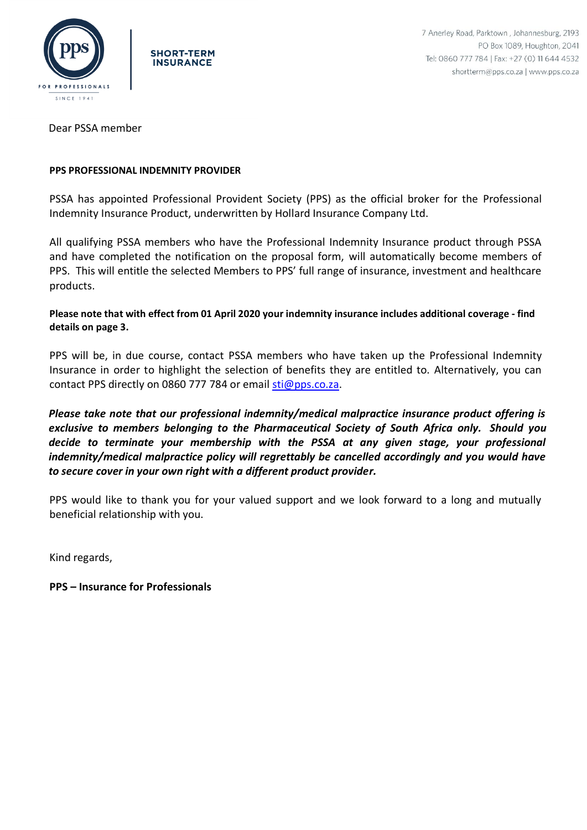



Dear PSSA member

### **PPS PROFESSIONAL INDEMNITY PROVIDER**

PSSA has appointed Professional Provident Society (PPS) as the official broker for the Professional Indemnity Insurance Product, underwritten by Hollard Insurance Company Ltd.

All qualifying PSSA members who have the Professional Indemnity Insurance product through PSSA and have completed the notification on the proposal form, will automatically become members of PPS. This will entitle the selected Members to PPS' full range of insurance, investment and healthcare products.

**Please note that with effect from 01 April 2020 your indemnity insurance includes additional coverage - find details on page 3.**

PPS will be, in due course, contact PSSA members who have taken up the Professional Indemnity Insurance in order to highlight the selection of benefits they are entitled to. Alternatively, you can contact PPS directly on 0860 777 784 or email [sti@pps.co.za.](mailto:sti@pps.co.za)

*Please take note that our professional indemnity/medical malpractice insurance product offering is exclusive to members belonging to the Pharmaceutical Society of South Africa only. Should you decide to terminate your membership with the PSSA at any given stage, your professional indemnity/medical malpractice policy will regrettably be cancelled accordingly and you would have to secure cover in your own right with a different product provider.*

PPS would like to thank you for your valued support and we look forward to a long and mutually beneficial relationship with you.

Kind regards,

**PPS – Insurance for Professionals**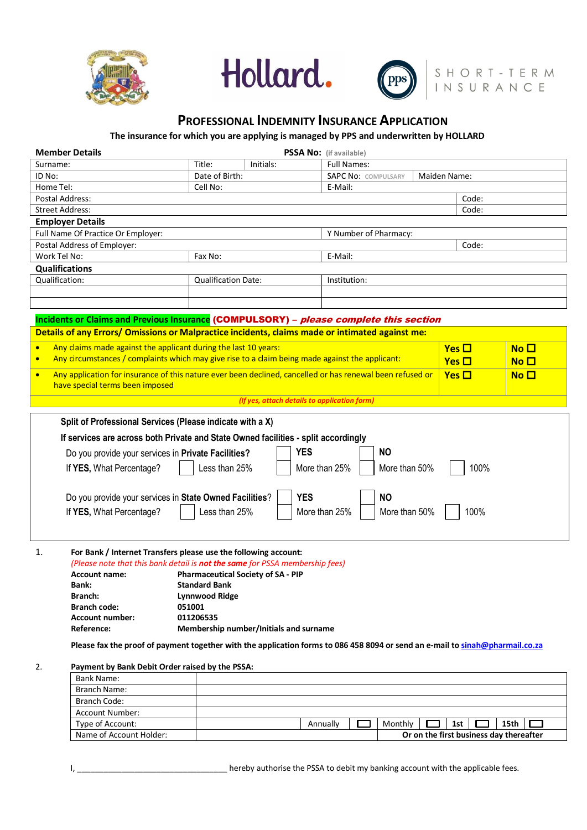





# **PROFESSIONAL INDEMNITY INSURANCE APPLICATION**

**The insurance for which you are applying is managed by PPS and underwritten by HOLLARD**

| <b>Member Details</b><br>PSSA No: (if available)                                                                              |                                           |                                        |                       |                                            |                                         |                                 |  |  |  |  |  |  |  |  |
|-------------------------------------------------------------------------------------------------------------------------------|-------------------------------------------|----------------------------------------|-----------------------|--------------------------------------------|-----------------------------------------|---------------------------------|--|--|--|--|--|--|--|--|
| Surname:                                                                                                                      | Title:                                    | Initials:                              | <b>Full Names:</b>    |                                            |                                         |                                 |  |  |  |  |  |  |  |  |
| ID No:                                                                                                                        | Date of Birth:                            |                                        |                       | <b>SAPC No: COMPULSARY</b><br>Maiden Name: |                                         |                                 |  |  |  |  |  |  |  |  |
| Home Tel:                                                                                                                     | Cell No:                                  |                                        | E-Mail:               |                                            |                                         |                                 |  |  |  |  |  |  |  |  |
| Postal Address:                                                                                                               |                                           |                                        | Code:                 |                                            |                                         |                                 |  |  |  |  |  |  |  |  |
| <b>Street Address:</b>                                                                                                        |                                           |                                        | Code:                 |                                            |                                         |                                 |  |  |  |  |  |  |  |  |
| <b>Employer Details</b>                                                                                                       |                                           |                                        |                       |                                            |                                         |                                 |  |  |  |  |  |  |  |  |
| Full Name Of Practice Or Employer:                                                                                            |                                           |                                        | Y Number of Pharmacy: |                                            |                                         |                                 |  |  |  |  |  |  |  |  |
| Postal Address of Employer:                                                                                                   |                                           |                                        |                       | Code:                                      |                                         |                                 |  |  |  |  |  |  |  |  |
| Work Tel No:                                                                                                                  | Fax No:                                   |                                        | E-Mail:               |                                            |                                         |                                 |  |  |  |  |  |  |  |  |
| <b>Qualifications</b>                                                                                                         |                                           |                                        |                       |                                            |                                         |                                 |  |  |  |  |  |  |  |  |
| Qualification:                                                                                                                | <b>Qualification Date:</b>                |                                        | Institution:          |                                            |                                         |                                 |  |  |  |  |  |  |  |  |
|                                                                                                                               |                                           |                                        |                       |                                            |                                         |                                 |  |  |  |  |  |  |  |  |
|                                                                                                                               |                                           |                                        |                       |                                            |                                         |                                 |  |  |  |  |  |  |  |  |
|                                                                                                                               |                                           |                                        |                       |                                            |                                         |                                 |  |  |  |  |  |  |  |  |
| Incidents or Claims and Previous Insurance (COMPULSORY) - please complete this section                                        |                                           |                                        |                       |                                            |                                         |                                 |  |  |  |  |  |  |  |  |
| Details of any Errors/ Omissions or Malpractice incidents, claims made or intimated against me:                               |                                           |                                        |                       |                                            |                                         |                                 |  |  |  |  |  |  |  |  |
| Any claims made against the applicant during the last 10 years:<br>$\bullet$                                                  |                                           |                                        |                       |                                            | $Yes \Box$                              | $\overline{\mathsf{No}}$ $\Box$ |  |  |  |  |  |  |  |  |
| Any circumstances / complaints which may give rise to a claim being made against the applicant:<br>$\bullet$                  |                                           |                                        |                       |                                            |                                         |                                 |  |  |  |  |  |  |  |  |
|                                                                                                                               |                                           | Yes $\Box$                             | No <sub>1</sub>       |                                            |                                         |                                 |  |  |  |  |  |  |  |  |
| Any application for insurance of this nature ever been declined, cancelled or has renewal been refused or<br>$\bullet$        | $Yes \Box$                                | $N$ o $\Box$                           |                       |                                            |                                         |                                 |  |  |  |  |  |  |  |  |
| have special terms been imposed                                                                                               |                                           |                                        |                       |                                            |                                         |                                 |  |  |  |  |  |  |  |  |
| (If yes, attach details to application form)                                                                                  |                                           |                                        |                       |                                            |                                         |                                 |  |  |  |  |  |  |  |  |
|                                                                                                                               |                                           |                                        |                       |                                            |                                         |                                 |  |  |  |  |  |  |  |  |
| Split of Professional Services (Please indicate with a X)                                                                     |                                           |                                        |                       |                                            |                                         |                                 |  |  |  |  |  |  |  |  |
| If services are across both Private and State Owned facilities - split accordingly                                            |                                           |                                        |                       |                                            |                                         |                                 |  |  |  |  |  |  |  |  |
| <b>YES</b><br><b>NO</b><br>Do you provide your services in Private Facilities?                                                |                                           |                                        |                       |                                            |                                         |                                 |  |  |  |  |  |  |  |  |
|                                                                                                                               |                                           |                                        |                       |                                            |                                         |                                 |  |  |  |  |  |  |  |  |
| If YES, What Percentage?                                                                                                      | Less than 25%                             |                                        | More than 25%         | More than 50%                              | 100%                                    |                                 |  |  |  |  |  |  |  |  |
|                                                                                                                               |                                           |                                        |                       |                                            |                                         |                                 |  |  |  |  |  |  |  |  |
| Do you provide your services in State Owned Facilities?                                                                       |                                           |                                        | <b>YES</b>            | <b>NO</b>                                  |                                         |                                 |  |  |  |  |  |  |  |  |
| If YES, What Percentage?                                                                                                      | Less than 25%                             |                                        | More than 25%         | More than 50%                              | 100%                                    |                                 |  |  |  |  |  |  |  |  |
|                                                                                                                               |                                           |                                        |                       |                                            |                                         |                                 |  |  |  |  |  |  |  |  |
|                                                                                                                               |                                           |                                        |                       |                                            |                                         |                                 |  |  |  |  |  |  |  |  |
|                                                                                                                               |                                           |                                        |                       |                                            |                                         |                                 |  |  |  |  |  |  |  |  |
| For Bank / Internet Transfers please use the following account:<br>1.                                                         |                                           |                                        |                       |                                            |                                         |                                 |  |  |  |  |  |  |  |  |
| (Please note that this bank detail is not the same for PSSA membership fees)                                                  |                                           |                                        |                       |                                            |                                         |                                 |  |  |  |  |  |  |  |  |
| <b>Account name:</b>                                                                                                          | <b>Pharmaceutical Society of SA - PIP</b> |                                        |                       |                                            |                                         |                                 |  |  |  |  |  |  |  |  |
| Bank:                                                                                                                         | <b>Standard Bank</b>                      |                                        |                       |                                            |                                         |                                 |  |  |  |  |  |  |  |  |
| Branch:                                                                                                                       | <b>Lynnwood Ridge</b>                     |                                        |                       |                                            |                                         |                                 |  |  |  |  |  |  |  |  |
| <b>Branch code:</b>                                                                                                           | 051001                                    |                                        |                       |                                            |                                         |                                 |  |  |  |  |  |  |  |  |
| <b>Account number:</b>                                                                                                        | 011206535                                 |                                        |                       |                                            |                                         |                                 |  |  |  |  |  |  |  |  |
| Reference:                                                                                                                    |                                           | Membership number/Initials and surname |                       |                                            |                                         |                                 |  |  |  |  |  |  |  |  |
| Please fax the proof of payment together with the application forms to 086 458 8094 or send an e-mail to sinah@pharmail.co.za |                                           |                                        |                       |                                            |                                         |                                 |  |  |  |  |  |  |  |  |
|                                                                                                                               |                                           |                                        |                       |                                            |                                         |                                 |  |  |  |  |  |  |  |  |
| Payment by Bank Debit Order raised by the PSSA:<br>2.                                                                         |                                           |                                        |                       |                                            |                                         |                                 |  |  |  |  |  |  |  |  |
| <b>Bank Name:</b>                                                                                                             |                                           |                                        |                       |                                            |                                         |                                 |  |  |  |  |  |  |  |  |
| <b>Branch Name:</b>                                                                                                           |                                           |                                        |                       |                                            |                                         |                                 |  |  |  |  |  |  |  |  |
| Branch Code:                                                                                                                  |                                           |                                        |                       |                                            |                                         |                                 |  |  |  |  |  |  |  |  |
| Account Number:                                                                                                               |                                           |                                        |                       |                                            |                                         |                                 |  |  |  |  |  |  |  |  |
| Type of Account:                                                                                                              | 15th<br>Annually<br>Monthly<br>1st        |                                        |                       |                                            |                                         |                                 |  |  |  |  |  |  |  |  |
| Name of Account Holder:                                                                                                       |                                           |                                        |                       |                                            | Or on the first business day thereafter |                                 |  |  |  |  |  |  |  |  |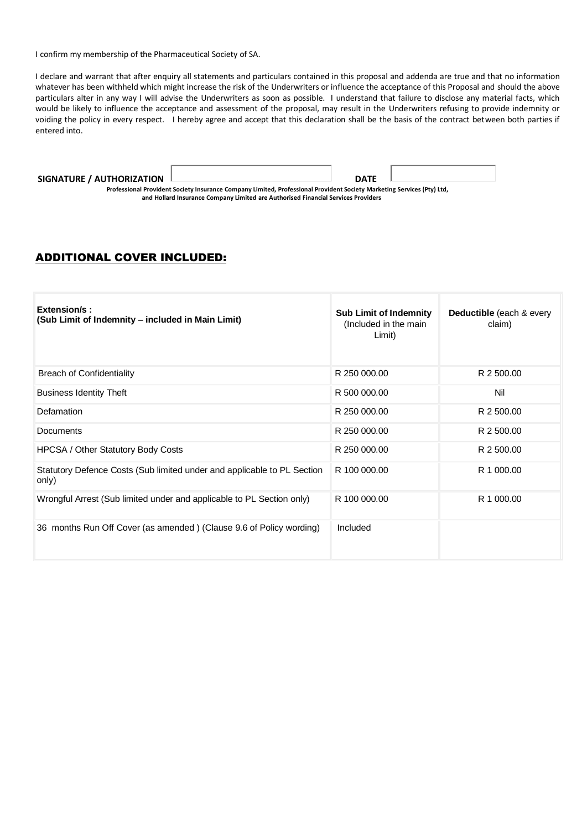I confirm my membership of the Pharmaceutical Society of SA.

I declare and warrant that after enquiry all statements and particulars contained in this proposal and addenda are true and that no information whatever has been withheld which might increase the risk of the Underwriters or influence the acceptance of this Proposal and should the above particulars alter in any way I will advise the Underwriters as soon as possible. I understand that failure to disclose any material facts, which would be likely to influence the acceptance and assessment of the proposal, may result in the Underwriters refusing to provide indemnity or voiding the policy in every respect. I hereby agree and accept that this declaration shall be the basis of the contract between both parties if entered into.

#### **SIGNATURE / AUTHORIZATION DATE**

**Professional Provident Society Insurance Company Limited, Professional Provident Society Marketing Services (Pty) Ltd, and Hollard Insurance Company Limited are Authorised Financial Services Providers**

## ADDITIONAL COVER INCLUDED:

| Extension/s:<br>(Sub Limit of Indemnity - included in Main Limit)                | <b>Sub Limit of Indemnity</b><br>(Included in the main<br>Limit) | <b>Deductible</b> (each & every<br>claim) |
|----------------------------------------------------------------------------------|------------------------------------------------------------------|-------------------------------------------|
| <b>Breach of Confidentiality</b>                                                 | R 250 000,00                                                     | R 2 500.00                                |
| <b>Business Identity Theft</b>                                                   | R 500 000,00                                                     | Nil                                       |
| Defamation                                                                       | R 250 000.00                                                     | R 2 500.00                                |
| Documents                                                                        | R 250 000,00                                                     | R 2 500.00                                |
| <b>HPCSA / Other Statutory Body Costs</b>                                        | R 250 000,00                                                     | R 2 500.00                                |
| Statutory Defence Costs (Sub limited under and applicable to PL Section<br>only) | R 100 000,00                                                     | R 1 000,00                                |
| Wrongful Arrest (Sub limited under and applicable to PL Section only)            | R 100 000,00                                                     | R 1 000.00                                |
| 36 months Run Off Cover (as amended) (Clause 9.6 of Policy wording)              | Included                                                         |                                           |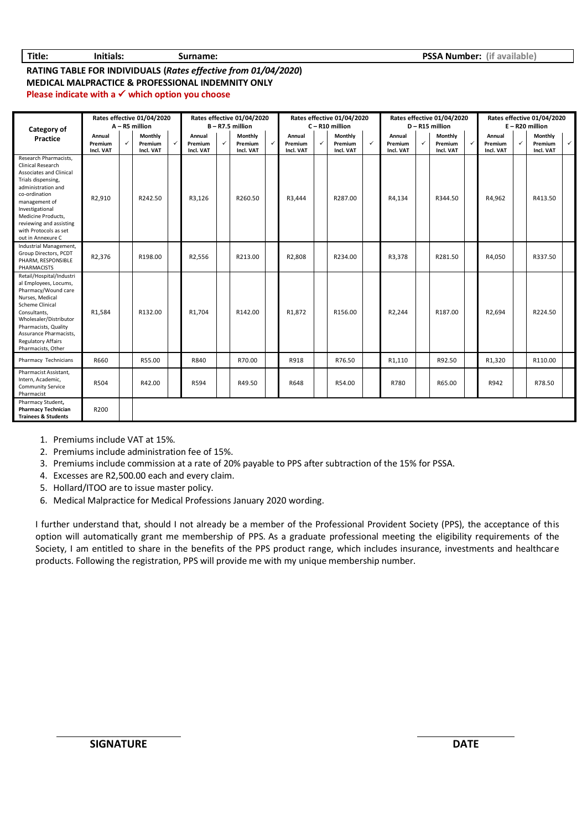#### **RATING TABLE FOR INDIVIDUALS (***Rates effective from 01/04/2020***) MEDICAL MALPRACTICE & PROFESSIONAL INDEMNITY ONLY Please indicate with a** ✓ **which option you choose**

| Category of<br>Practice                                                                                                                                                                                                                                                      | Rates effective 01/04/2020<br>$A - R5$ million |   |                                 | Rates effective 01/04/2020<br>$B - R7.5$ million |                                |   | Rates effective 01/04/2020<br>$C - R10$ million |              |                                | Rates effective 01/04/2020<br>D-R15 million |                                 |              |                                | Rates effective 01/04/2020<br>$E - R20$ million |                                 |  |                                |              |                                 |              |
|------------------------------------------------------------------------------------------------------------------------------------------------------------------------------------------------------------------------------------------------------------------------------|------------------------------------------------|---|---------------------------------|--------------------------------------------------|--------------------------------|---|-------------------------------------------------|--------------|--------------------------------|---------------------------------------------|---------------------------------|--------------|--------------------------------|-------------------------------------------------|---------------------------------|--|--------------------------------|--------------|---------------------------------|--------------|
|                                                                                                                                                                                                                                                                              | Annual<br>Premium<br>Incl. VAT                 | ✓ | Monthly<br>Premium<br>Incl. VAT | $\checkmark$                                     | Annual<br>Premium<br>Incl. VAT | ✓ | Monthly<br>Premium<br>Incl. VAT                 | $\checkmark$ | Annual<br>Premium<br>Incl. VAT | $\checkmark$                                | Monthly<br>Premium<br>Incl. VAT | $\checkmark$ | Annual<br>Premium<br>Incl. VAT | $\checkmark$                                    | Monthly<br>Premium<br>Incl. VAT |  | Annual<br>Premium<br>Incl. VAT | $\checkmark$ | Monthly<br>Premium<br>Incl. VAT | $\checkmark$ |
| Research Pharmacists,<br><b>Clinical Research</b><br>Associates and Clinical<br>Trials dispensing,<br>administration and<br>co-ordination<br>management of<br>Investigational<br>Medicine Products,<br>reviewing and assisting<br>with Protocols as set<br>out in Annexure C | R2,910                                         |   | R242.50                         |                                                  | R3,126                         |   | R260.50                                         |              | R3,444                         |                                             | R287.00                         |              | R4,134                         |                                                 | R344.50                         |  | R4,962                         |              | R413.50                         |              |
| Industrial Management,<br>Group Directors, PCDT<br>PHARM, RESPONSIBLE<br>PHARMACISTS                                                                                                                                                                                         | R2,376                                         |   | R198.00                         |                                                  | R2,556                         |   | R213.00                                         |              | R2,808                         |                                             | R234.00                         |              | R3,378                         |                                                 | R281.50                         |  | R4,050                         |              | R337.50                         |              |
| Retail/Hospital/Industri<br>al Employees, Locums,<br>Pharmacy/Wound care<br>Nurses, Medical<br><b>Scheme Clinical</b><br>Consultants,<br>Wholesaler/Distributor<br>Pharmacists, Quality<br>Assurance Pharmacists,<br><b>Regulatory Affairs</b><br>Pharmacists, Other         | R1,584                                         |   | R132.00                         |                                                  | R1,704                         |   | R142.00                                         |              | R1,872                         |                                             | R156.00                         |              | R2,244                         |                                                 | R187.00                         |  | R2,694                         |              | R224.50                         |              |
| Pharmacy Technicians                                                                                                                                                                                                                                                         | R660                                           |   | R55.00                          |                                                  | R840                           |   | R70.00                                          |              | R918                           |                                             | R76.50                          |              | R1,110                         |                                                 | R92.50                          |  | R1,320                         |              | R110.00                         |              |
| Pharmacist Assistant.<br>Intern, Academic,<br><b>Community Service</b><br>Pharmacist                                                                                                                                                                                         | R504                                           |   | R42.00                          |                                                  | R594                           |   | R49.50                                          |              | R648                           |                                             | R54.00                          |              | R780                           |                                                 | R65.00                          |  | R942                           |              | R78.50                          |              |
| Pharmacy Student,<br><b>Pharmacy Technician</b><br><b>Trainees &amp; Students</b>                                                                                                                                                                                            | R200                                           |   |                                 |                                                  |                                |   |                                                 |              |                                |                                             |                                 |              |                                |                                                 |                                 |  |                                |              |                                 |              |

1. Premiums include VAT at 15%.

2. Premiums include administration fee of 15%.

3. Premiums include commission at a rate of 20% payable to PPS after subtraction of the 15% for PSSA.

4. Excesses are R2,500.00 each and every claim.

5. Hollard/ITOO are to issue master policy.

6. Medical Malpractice for Medical Professions January 2020 wording.

I further understand that, should I not already be a member of the Professional Provident Society (PPS), the acceptance of this option will automatically grant me membership of PPS. As a graduate professional meeting the eligibility requirements of the Society, I am entitled to share in the benefits of the PPS product range, which includes insurance, investments and healthcare products. Following the registration, PPS will provide me with my unique membership number.